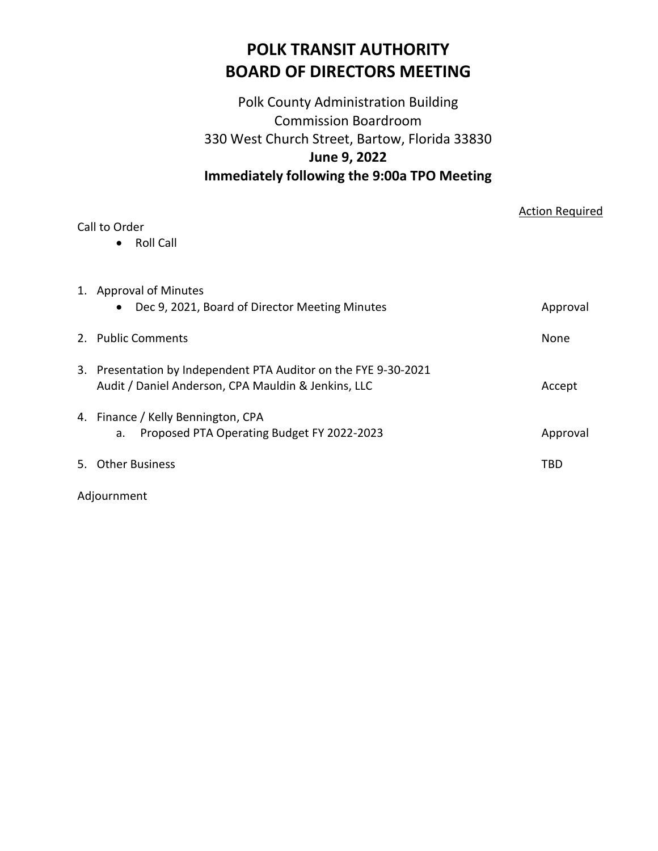# **POLK TRANSIT AUTHORITY BOARD OF DIRECTORS MEETING**

# Polk County Administration Building Commission Boardroom 330 West Church Street, Bartow, Florida 33830 **June 9, 2022 Immediately following the 9:00a TPO Meeting**

| Call to Order<br>Roll Call<br>$\bullet$                                                                                | <b>Action Required</b> |
|------------------------------------------------------------------------------------------------------------------------|------------------------|
| 1. Approval of Minutes<br>Dec 9, 2021, Board of Director Meeting Minutes<br>$\bullet$                                  | Approval               |
| 2. Public Comments                                                                                                     | None                   |
| 3. Presentation by Independent PTA Auditor on the FYE 9-30-2021<br>Audit / Daniel Anderson, CPA Mauldin & Jenkins, LLC | Accept                 |
| 4. Finance / Kelly Bennington, CPA<br>Proposed PTA Operating Budget FY 2022-2023<br>а.                                 | Approval               |
| <br><b>Other Business</b>                                                                                              | TBD                    |

Adjournment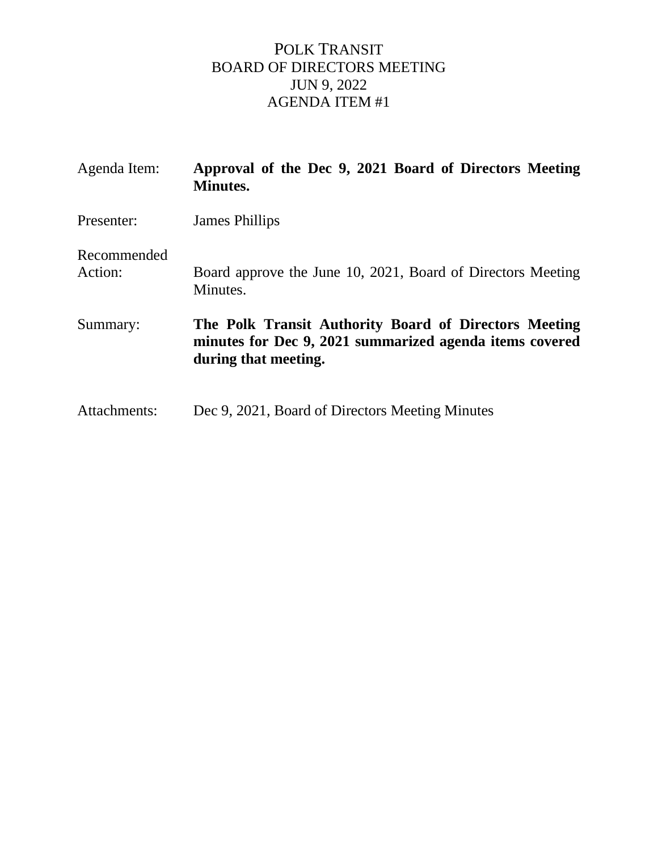# POLK TRANSIT BOARD OF DIRECTORS MEETING JUN 9, 2022 AGENDA ITEM #1

| Agenda Item:           | Approval of the Dec 9, 2021 Board of Directors Meeting<br><b>Minutes.</b>                                                                |
|------------------------|------------------------------------------------------------------------------------------------------------------------------------------|
| Presenter:             | James Phillips                                                                                                                           |
| Recommended<br>Action: | Board approve the June 10, 2021, Board of Directors Meeting<br>Minutes.                                                                  |
| Summary:               | The Polk Transit Authority Board of Directors Meeting<br>minutes for Dec 9, 2021 summarized agenda items covered<br>during that meeting. |
| Attachments:           | Dec 9, 2021, Board of Directors Meeting Minutes                                                                                          |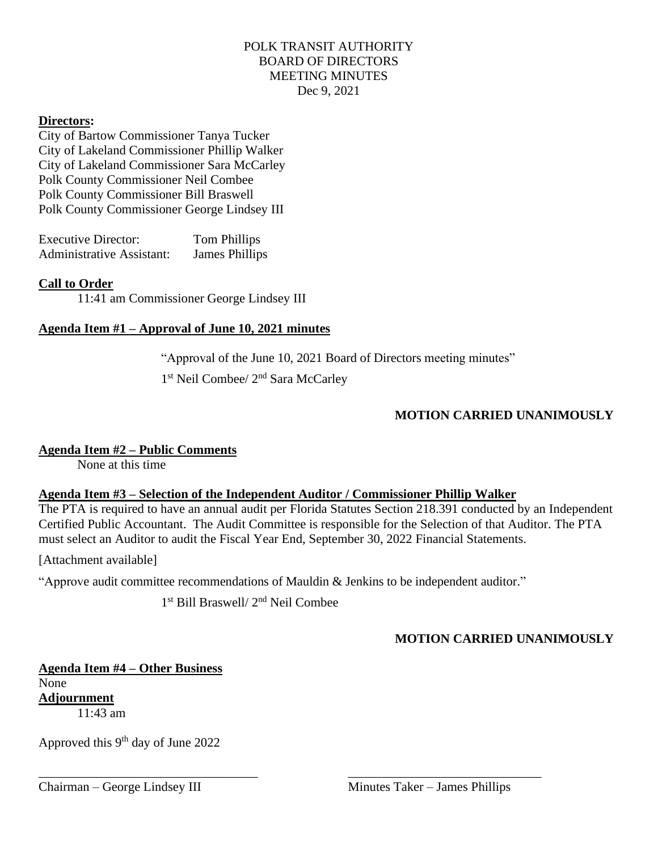# POLK TRANSIT AUTHORITY BOARD OF DIRECTORS MEETING MINUTES Dec 9, 2021

### **Directors:**

City of Bartow Commissioner Tanya Tucker City of Lakeland Commissioner Phillip Walker City of Lakeland Commissioner Sara McCarley Polk County Commissioner Neil Combee Polk County Commissioner Bill Braswell Polk County Commissioner George Lindsey III

| <b>Executive Director:</b> | Tom Phillips   |
|----------------------------|----------------|
| Administrative Assistant:  | James Phillips |

### **Call to Order**

11:41 am Commissioner George Lindsey III

### **Agenda Item #1 – Approval of June 10, 2021 minutes**

"Approval of the June 10, 2021 Board of Directors meeting minutes"

1<sup>st</sup> Neil Combee/ 2<sup>nd</sup> Sara McCarley

# **MOTION CARRIED UNANIMOUSLY**

# **Agenda Item #2 – Public Comments**

None at this time

# **Agenda Item #3 – Selection of the Independent Auditor / Commissioner Phillip Walker**

The PTA is required to have an annual audit per Florida Statutes Section 218.391 conducted by an Independent Certified Public Accountant. The Audit Committee is responsible for the Selection of that Auditor. The PTA must select an Auditor to audit the Fiscal Year End, September 30, 2022 Financial Statements.

### [Attachment available]

"Approve audit committee recommendations of Mauldin & Jenkins to be independent auditor."

\_\_\_\_\_\_\_\_\_\_\_\_\_\_\_\_\_\_\_\_\_\_\_\_\_\_\_\_\_\_\_\_\_\_ \_\_\_\_\_\_\_\_\_\_\_\_\_\_\_\_\_\_\_\_\_\_\_\_\_\_\_\_\_\_

1 st Bill Braswell/ 2nd Neil Combee

# **MOTION CARRIED UNANIMOUSLY**

**Agenda Item #4 – Other Business** None **Adjournment**  $11.43$  am

Approved this  $9<sup>th</sup>$  day of June 2022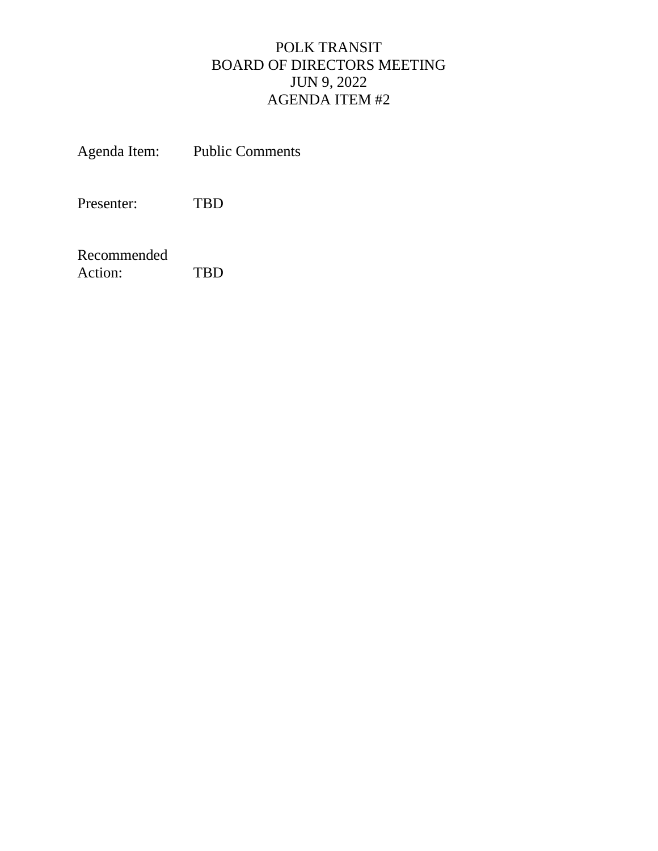# POLK TRANSIT BOARD OF DIRECTORS MEETING JUN 9, 2022 AGENDA ITEM #2

Agenda Item: Public Comments

Presenter: TBD

Recommended Action: TBD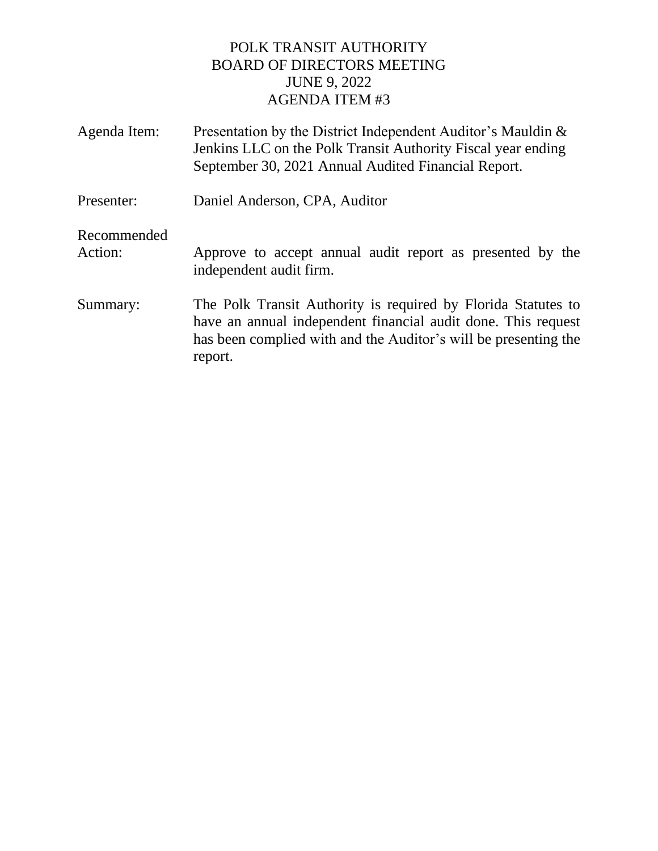# POLK TRANSIT AUTHORITY BOARD OF DIRECTORS MEETING JUNE 9, 2022 AGENDA ITEM #3

| Agenda Item:           | Presentation by the District Independent Auditor's Mauldin &<br>Jenkins LLC on the Polk Transit Authority Fiscal year ending<br>September 30, 2021 Annual Audited Financial Report.                          |
|------------------------|--------------------------------------------------------------------------------------------------------------------------------------------------------------------------------------------------------------|
| Presenter:             | Daniel Anderson, CPA, Auditor                                                                                                                                                                                |
| Recommended<br>Action: | Approve to accept annual audit report as presented by the<br>independent audit firm.                                                                                                                         |
| Summary:               | The Polk Transit Authority is required by Florida Statutes to<br>have an annual independent financial audit done. This request<br>has been complied with and the Auditor's will be presenting the<br>report. |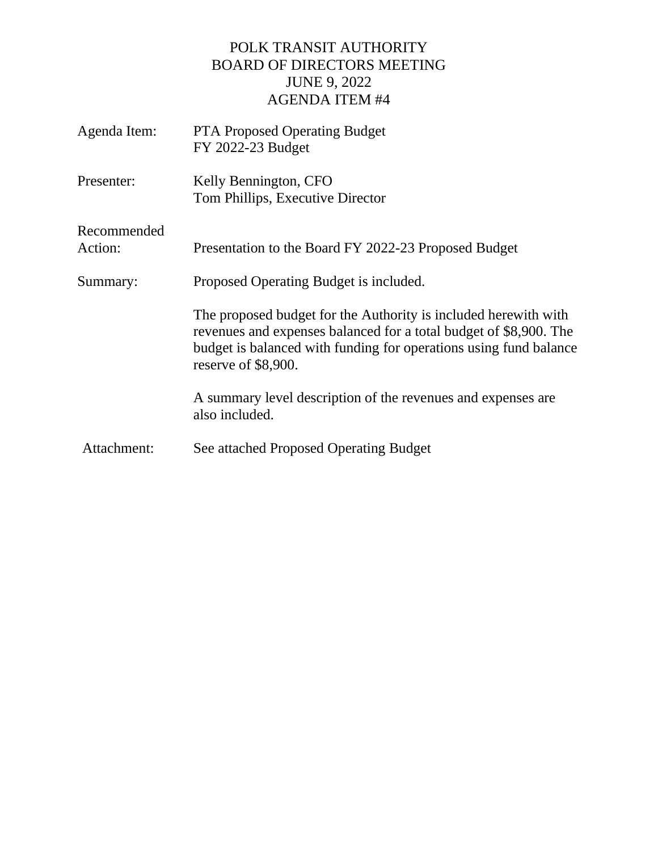# POLK TRANSIT AUTHORITY BOARD OF DIRECTORS MEETING JUNE 9, 2022 AGENDA ITEM #4

| Agenda Item:           | <b>PTA Proposed Operating Budget</b><br>FY 2022-23 Budget                                                                                                                                                                        |
|------------------------|----------------------------------------------------------------------------------------------------------------------------------------------------------------------------------------------------------------------------------|
| Presenter:             | Kelly Bennington, CFO<br>Tom Phillips, Executive Director                                                                                                                                                                        |
| Recommended<br>Action: | Presentation to the Board FY 2022-23 Proposed Budget                                                                                                                                                                             |
| Summary:               | Proposed Operating Budget is included.                                                                                                                                                                                           |
|                        | The proposed budget for the Authority is included herewith with<br>revenues and expenses balanced for a total budget of \$8,900. The<br>budget is balanced with funding for operations using fund balance<br>reserve of \$8,900. |
|                        | A summary level description of the revenues and expenses are<br>also included.                                                                                                                                                   |
| Attachment:            | See attached Proposed Operating Budget                                                                                                                                                                                           |
|                        |                                                                                                                                                                                                                                  |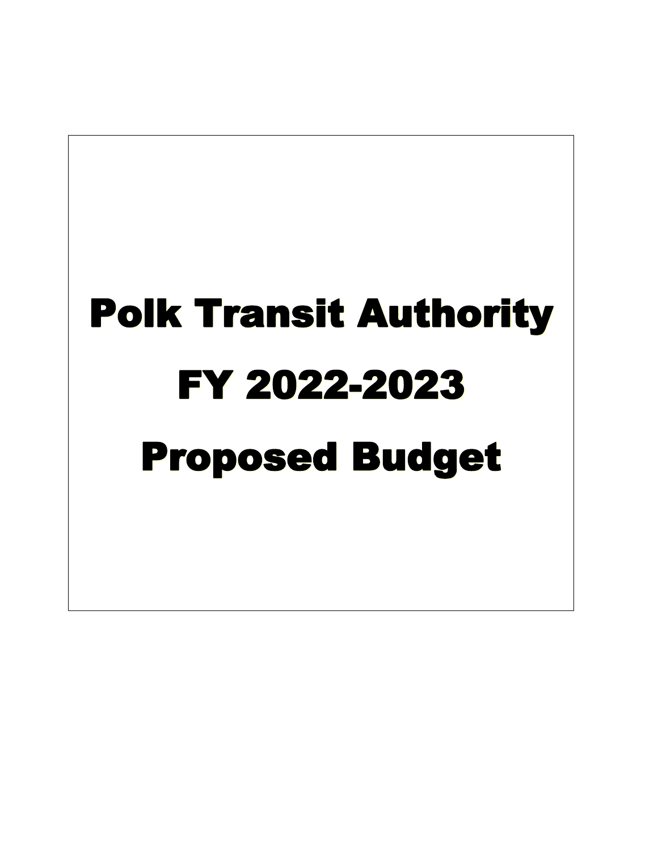# Polk Transit Authority FY 2022-2023 Proposed Budget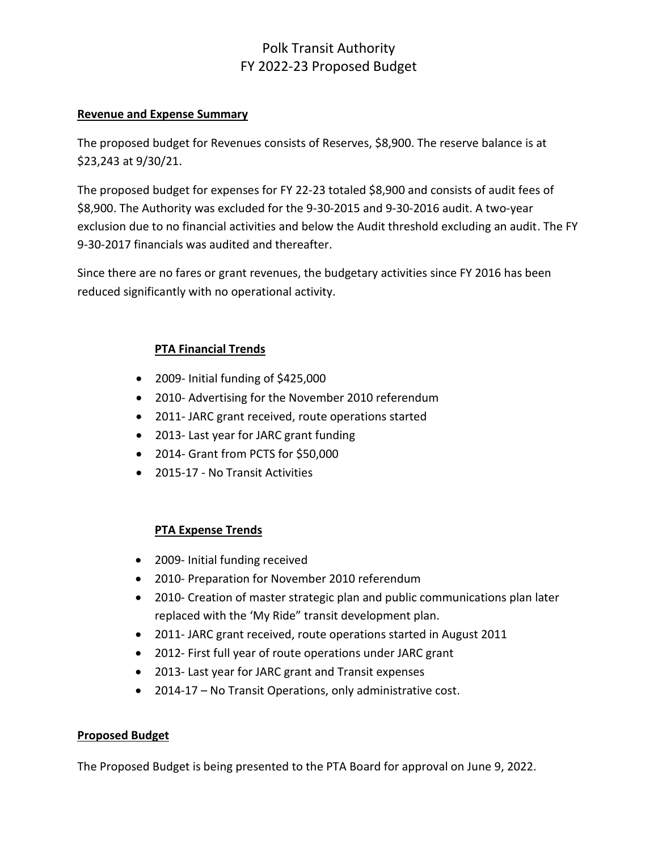# Polk Transit Authority FY 2022-23 Proposed Budget

### **Revenue and Expense Summary**

The proposed budget for Revenues consists of Reserves, \$8,900. The reserve balance is at \$23,243 at 9/30/21.

The proposed budget for expenses for FY 22-23 totaled \$8,900 and consists of audit fees of \$8,900. The Authority was excluded for the 9-30-2015 and 9-30-2016 audit. A two-year exclusion due to no financial activities and below the Audit threshold excluding an audit. The FY 9-30-2017 financials was audited and thereafter.

Since there are no fares or grant revenues, the budgetary activities since FY 2016 has been reduced significantly with no operational activity.

# **PTA Financial Trends**

- 2009- Initial funding of \$425,000
- 2010- Advertising for the November 2010 referendum
- 2011- JARC grant received, route operations started
- 2013- Last year for JARC grant funding
- 2014- Grant from PCTS for \$50,000
- 2015-17 No Transit Activities

# **PTA Expense Trends**

- 2009- Initial funding received
- 2010- Preparation for November 2010 referendum
- 2010- Creation of master strategic plan and public communications plan later replaced with the 'My Ride" transit development plan.
- 2011- JARC grant received, route operations started in August 2011
- 2012- First full year of route operations under JARC grant
- 2013- Last year for JARC grant and Transit expenses
- 2014-17 No Transit Operations, only administrative cost.

### **Proposed Budget**

The Proposed Budget is being presented to the PTA Board for approval on June 9, 2022.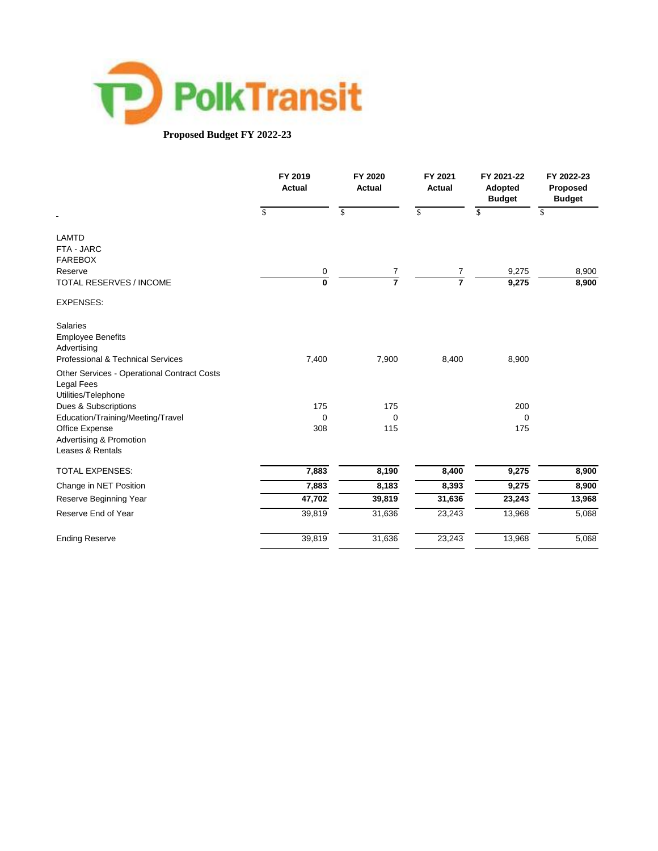

### **Proposed Budget FY 2022-23**

|                                                                  | FY 2019<br><b>Actual</b> | FY 2020<br><b>Actual</b> | FY 2021<br>Actual | FY 2021-22<br>Adopted<br><b>Budget</b> | FY 2022-23<br>Proposed<br><b>Budget</b> |
|------------------------------------------------------------------|--------------------------|--------------------------|-------------------|----------------------------------------|-----------------------------------------|
| $\blacksquare$                                                   | \$                       | \$                       | \$                | $\mathbb{S}$                           | \$                                      |
| <b>LAMTD</b>                                                     |                          |                          |                   |                                        |                                         |
| FTA - JARC<br><b>FAREBOX</b>                                     |                          |                          |                   |                                        |                                         |
| Reserve                                                          |                          |                          |                   | 9,275                                  | 8,900                                   |
| <b>TOTAL RESERVES / INCOME</b>                                   | $\overline{0}$<br>0      | $\frac{7}{7}$            | $\frac{7}{7}$     | 9,275                                  | 8,900                                   |
| <b>EXPENSES:</b>                                                 |                          |                          |                   |                                        |                                         |
| <b>Salaries</b>                                                  |                          |                          |                   |                                        |                                         |
| <b>Employee Benefits</b>                                         |                          |                          |                   |                                        |                                         |
| Advertising                                                      |                          |                          |                   |                                        |                                         |
| Professional & Technical Services                                | 7,400                    | 7,900                    | 8,400             | 8,900                                  |                                         |
| <b>Other Services - Operational Contract Costs</b><br>Legal Fees |                          |                          |                   |                                        |                                         |
| Utilities/Telephone                                              |                          |                          |                   |                                        |                                         |
| Dues & Subscriptions                                             | 175                      | 175                      |                   | 200                                    |                                         |
| Education/Training/Meeting/Travel                                | $\mathbf 0$              | $\mathbf 0$              |                   | 0                                      |                                         |
| Office Expense<br><b>Advertising &amp; Promotion</b>             | 308                      | 115                      |                   | 175                                    |                                         |
| Leases & Rentals                                                 |                          |                          |                   |                                        |                                         |
| <b>TOTAL EXPENSES:</b>                                           | 7,883                    | 8,190                    | 8,400             | 9,275                                  | 8,900                                   |
| Change in NET Position                                           | 7,883                    | 8,183                    | 8,393             | 9,275                                  | 8,900                                   |
| Reserve Beginning Year                                           | 47,702                   | 39,819                   | 31,636            | 23,243                                 | 13,968                                  |
| Reserve End of Year                                              | 39,819                   | 31,636                   | 23,243            | 13,968                                 | 5,068                                   |
| <b>Ending Reserve</b>                                            | 39,819                   | 31,636                   | 23,243            | 13,968                                 | 5,068                                   |